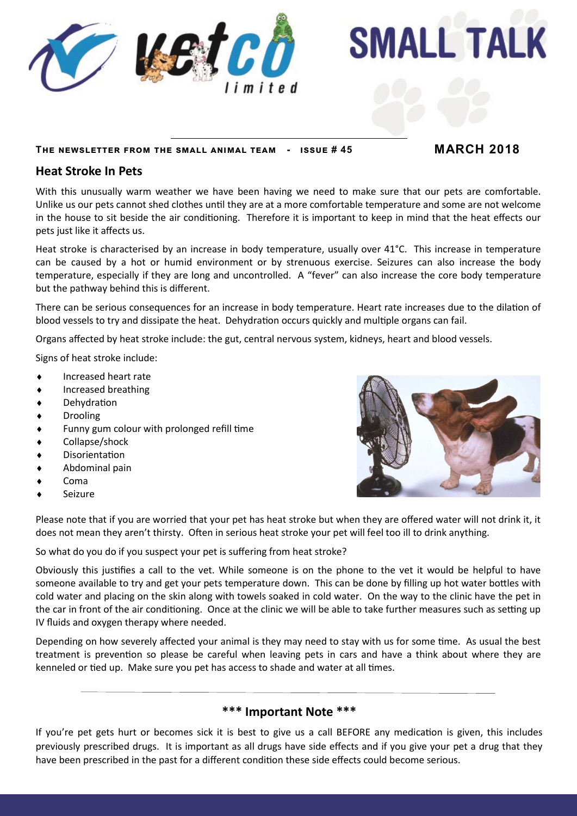

#### **The newsletter from the small animal team - issue # 45 MARCH 2018**

**SMALL TALK** 

### **Heat Stroke In Pets**

With this unusually warm weather we have been having we need to make sure that our pets are comfortable. Unlike us our pets cannot shed clothes until they are at a more comfortable temperature and some are not welcome in the house to sit beside the air conditioning. Therefore it is important to keep in mind that the heat effects our pets just like it affects us.

Heat stroke is characterised by an increase in body temperature, usually over 41°C. This increase in temperature can be caused by a hot or humid environment or by strenuous exercise. Seizures can also increase the body temperature, especially if they are long and uncontrolled. A "fever" can also increase the core body temperature but the pathway behind this is different.

There can be serious consequences for an increase in body temperature. Heart rate increases due to the dilation of blood vessels to try and dissipate the heat. Dehydration occurs quickly and multiple organs can fail.

Organs affected by heat stroke include: the gut, central nervous system, kidneys, heart and blood vessels.

Signs of heat stroke include:

- Increased heart rate
- Increased breathing
- Dehydration
- Drooling
- Funny gum colour with prolonged refill time
- Collapse/shock
- Disorientation
- Abdominal pain
- Coma
- Seizure

Please note that if you are worried that your pet has heat stroke but when they are offered water will not drink it, it does not mean they aren't thirsty. Often in serious heat stroke your pet will feel too ill to drink anything.

So what do you do if you suspect your pet is suffering from heat stroke?

Obviously this justifies a call to the vet. While someone is on the phone to the vet it would be helpful to have someone available to try and get your pets temperature down. This can be done by filling up hot water bottles with cold water and placing on the skin along with towels soaked in cold water. On the way to the clinic have the pet in the car in front of the air conditioning. Once at the clinic we will be able to take further measures such as setting up IV fluids and oxygen therapy where needed.

Depending on how severely affected your animal is they may need to stay with us for some time. As usual the best treatment is prevention so please be careful when leaving pets in cars and have a think about where they are kenneled or tied up. Make sure you pet has access to shade and water at all times.

#### **\*\*\* Important Note \*\*\***

If you're pet gets hurt or becomes sick it is best to give us a call BEFORE any medication is given, this includes previously prescribed drugs. It is important as all drugs have side effects and if you give your pet a drug that they have been prescribed in the past for a different condition these side effects could become serious.